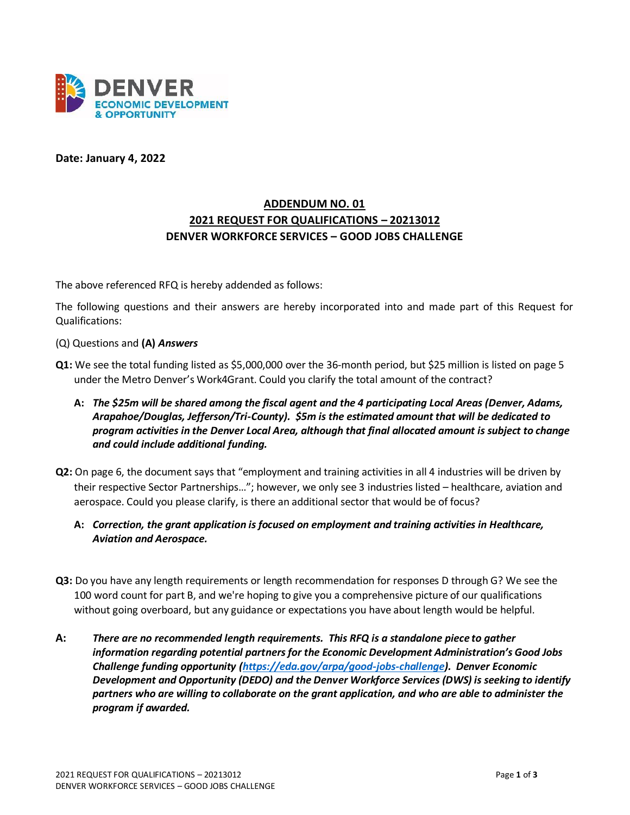

**Date: January 4, 2022**

## **ADDENDUM NO. 01 2021 REQUEST FOR QUALIFICATIONS – 20213012 DENVER WORKFORCE SERVICES – GOOD JOBS CHALLENGE**

The above referenced RFQ is hereby addended as follows:

The following questions and their answers are hereby incorporated into and made part of this Request for Qualifications:

- (Q) Questions and **(A)** *Answers*
- **Q1:** We see the total funding listed as \$5,000,000 over the 36-month period, but \$25 million is listed on page 5 under the Metro Denver's Work4Grant. Could you clarify the total amount of the contract?
	- **A:** *The \$25m will be shared among the fiscal agent and the 4 participating Local Areas (Denver, Adams, Arapahoe/Douglas, Jefferson/Tri-County). \$5m is the estimated amount that will be dedicated to program activities in the Denver Local Area, although that final allocated amount is subject to change and could include additional funding.*
- **Q2:** On page 6, the document says that "employment and training activities in all 4 industries will be driven by their respective Sector Partnerships…"; however, we only see 3 industries listed – healthcare, aviation and aerospace. Could you please clarify, is there an additional sector that would be of focus?
	- **A:** *Correction, the grant application is focused on employment and training activities in Healthcare, Aviation and Aerospace.*
- **Q3:** Do you have any length requirements or length recommendation for responses D through G? We see the 100 word count for part B, and we're hoping to give you a comprehensive picture of our qualifications without going overboard, but any guidance or expectations you have about length would be helpful.
- **A:** *There are no recommended length requirements. This RFQ is a standalone piece to gather information regarding potential partners for the Economic Development Administration's Good Jobs Challenge funding opportunity [\(https://eda.gov/arpa/good-jobs-challenge\)](https://eda.gov/arpa/good-jobs-challenge). Denver Economic Development and Opportunity (DEDO) and the Denver Workforce Services (DWS) is seeking to identify partners who are willing to collaborate on the grant application, and who are able to administer the program if awarded.*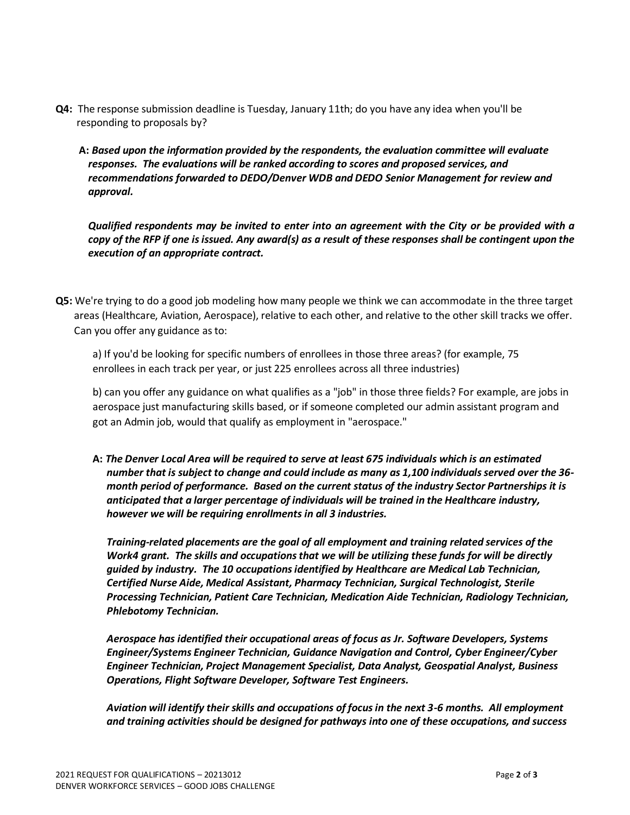- **Q4:** The response submission deadline is Tuesday, January 11th; do you have any idea when you'll be responding to proposals by?
	- **A:** *Based upon the information provided by the respondents, the evaluation committee will evaluate responses. The evaluations will be ranked according to scores and proposed services, and recommendations forwarded to DEDO/Denver WDB and DEDO Senior Management for review and approval.*

*Qualified respondents may be invited to enter into an agreement with the City or be provided with a copy of the RFP if one is issued. Any award(s) as a result of these responses shall be contingent upon the execution of an appropriate contract.* 

**Q5:** We're trying to do a good job modeling how many people we think we can accommodate in the three target areas (Healthcare, Aviation, Aerospace), relative to each other, and relative to the other skill tracks we offer. Can you offer any guidance as to:

a) If you'd be looking for specific numbers of enrollees in those three areas? (for example, 75 enrollees in each track per year, or just 225 enrollees across all three industries)

b) can you offer any guidance on what qualifies as a "job" in those three fields? For example, are jobs in aerospace just manufacturing skills based, or if someone completed our admin assistant program and got an Admin job, would that qualify as employment in "aerospace."

**A:** *The Denver Local Area will be required to serve at least 675 individuals which is an estimated number that is subject to change and could include as many as 1,100 individuals served over the 36 month period of performance. Based on the current status of the industry Sector Partnerships it is anticipated that a larger percentage of individuals will be trained in the Healthcare industry, however we will be requiring enrollments in all 3 industries.*

*Training-related placements are the goal of all employment and training related services of the Work4 grant. The skills and occupations that we will be utilizing these funds for will be directly guided by industry. The 10 occupations identified by Healthcare are Medical Lab Technician, Certified Nurse Aide, Medical Assistant, Pharmacy Technician, Surgical Technologist, Sterile Processing Technician, Patient Care Technician, Medication Aide Technician, Radiology Technician, Phlebotomy Technician.* 

*Aerospace has identified their occupational areas of focus as Jr. Software Developers, Systems Engineer/Systems Engineer Technician, Guidance Navigation and Control, Cyber Engineer/Cyber Engineer Technician, Project Management Specialist, Data Analyst, Geospatial Analyst, Business Operations, Flight Software Developer, Software Test Engineers.*

*Aviation will identify their skills and occupations of focus in the next 3-6 months. All employment and training activities should be designed for pathways into one of these occupations, and success*